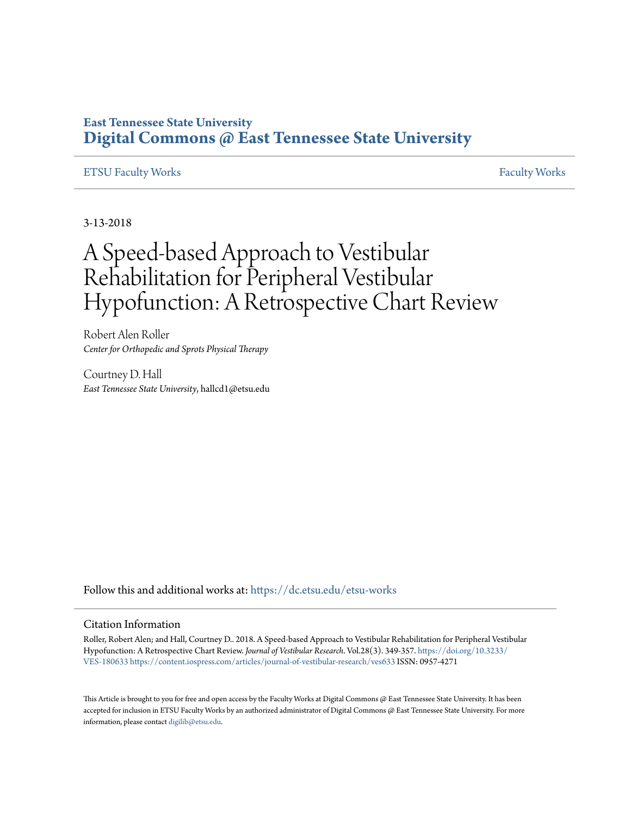### **East Tennessee State University [Digital Commons @ East Tennessee State University](https://dc.etsu.edu?utm_source=dc.etsu.edu%2Fetsu-works%2F5374&utm_medium=PDF&utm_campaign=PDFCoverPages)**

#### [ETSU Faculty Works](https://dc.etsu.edu/etsu-works?utm_source=dc.etsu.edu%2Fetsu-works%2F5374&utm_medium=PDF&utm_campaign=PDFCoverPages) [Faculty Works](https://dc.etsu.edu/faculty-works?utm_source=dc.etsu.edu%2Fetsu-works%2F5374&utm_medium=PDF&utm_campaign=PDFCoverPages) Faculty Works Faculty Works Faculty Works Faculty Works Faculty Works Faculty Works Faculty Morks Faculty Morks Faculty Morks Faculty Morks Faculty Morks Faculty Morks Faculty Morks Faculty

3-13-2018

## A Speed-based Approach to Vestibular Rehabilitation for Peripheral Vestibular Hypofunction: A Retrospective Chart Review

Robert Alen Roller *Center for Orthopedic and Sprots Physical Therapy*

Courtney D. Hall *East Tennessee State University*, hallcd1@etsu.edu

Follow this and additional works at: [https://dc.etsu.edu/etsu-works](https://dc.etsu.edu/etsu-works?utm_source=dc.etsu.edu%2Fetsu-works%2F5374&utm_medium=PDF&utm_campaign=PDFCoverPages)

#### Citation Information

Roller, Robert Alen; and Hall, Courtney D.. 2018. A Speed-based Approach to Vestibular Rehabilitation for Peripheral Vestibular Hypofunction: A Retrospective Chart Review. *Journal of Vestibular Research*. Vol.28(3). 349-357. [https://doi.org/10.3233/](https://doi.org/10.3233/VES-180633) [VES-180633](https://doi.org/10.3233/VES-180633) <https://content.iospress.com/articles/journal-of-vestibular-research/ves633> ISSN: 0957-4271

This Article is brought to you for free and open access by the Faculty Works at Digital Commons @ East Tennessee State University. It has been accepted for inclusion in ETSU Faculty Works by an authorized administrator of Digital Commons @ East Tennessee State University. For more information, please contact [digilib@etsu.edu.](mailto:digilib@etsu.edu)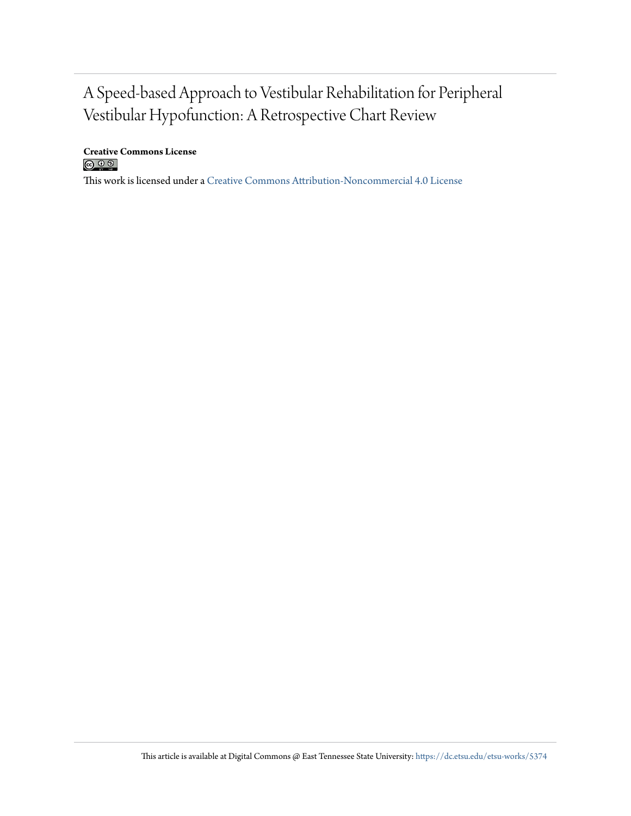## A Speed-based Approach to Vestibular Rehabilitation for Peripheral Vestibular Hypofunction: A Retrospective Chart Review

**Creative Commons License**<br> **@** 0 9

This work is licensed under a [Creative Commons Attribution-Noncommercial 4.0 License](http://creativecommons.org/licenses/by-nc/4.0/)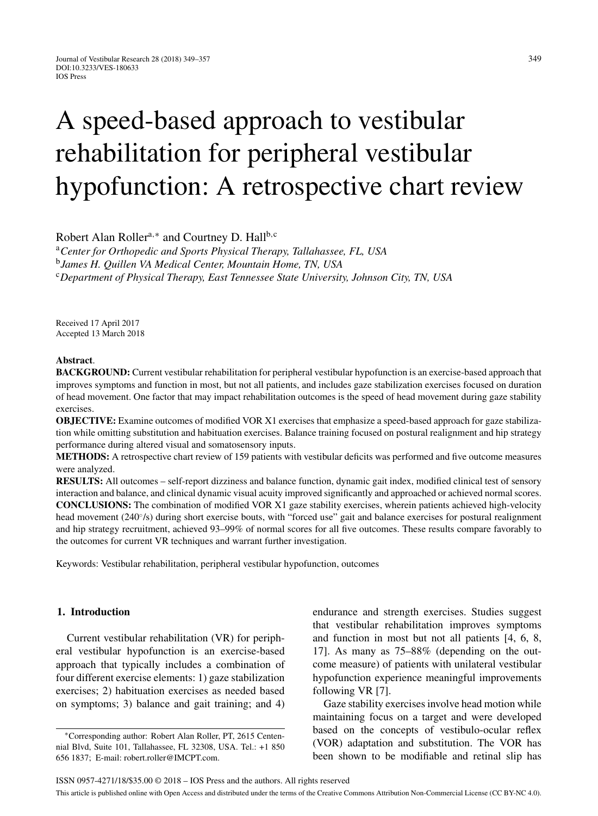# A speed-based approach to vestibular rehabilitation for peripheral vestibular hypofunction: A retrospective chart review

Robert Alan Roller<sup>a,∗</sup> and Courtney D. Hall<sup>b,c</sup>

<sup>a</sup>*Center for Orthopedic and Sports Physical Therapy, Tallahassee, FL, USA* <sup>b</sup>*James H. Quillen VA Medical Center, Mountain Home, TN, USA* <sup>c</sup>*Department of Physical Therapy, East Tennessee State University, Johnson City, TN, USA*

Received 17 April 2017 Accepted 13 March 2018

#### **Abstract**.

**BACKGROUND:** Current vestibular rehabilitation for peripheral vestibular hypofunction is an exercise-based approach that improves symptoms and function in most, but not all patients, and includes gaze stabilization exercises focused on duration of head movement. One factor that may impact rehabilitation outcomes is the speed of head movement during gaze stability exercises.

**OBJECTIVE:** Examine outcomes of modified VOR X1 exercises that emphasize a speed-based approach for gaze stabilization while omitting substitution and habituation exercises. Balance training focused on postural realignment and hip strategy performance during altered visual and somatosensory inputs.

**METHODS:** A retrospective chart review of 159 patients with vestibular deficits was performed and five outcome measures were analyzed.

**RESULTS:** All outcomes – self-report dizziness and balance function, dynamic gait index, modified clinical test of sensory interaction and balance, and clinical dynamic visual acuity improved significantly and approached or achieved normal scores. **CONCLUSIONS:** The combination of modified VOR X1 gaze stability exercises, wherein patients achieved high-velocity head movement (240°/s) during short exercise bouts, with "forced use" gait and balance exercises for postural realignment and hip strategy recruitment, achieved 93–99% of normal scores for all five outcomes. These results compare favorably to the outcomes for current VR techniques and warrant further investigation.

Keywords: Vestibular rehabilitation, peripheral vestibular hypofunction, outcomes

#### **1. Introduction**

Current vestibular rehabilitation (VR) for peripheral vestibular hypofunction is an exercise-based approach that typically includes a combination of four different exercise elements: 1) gaze stabilization exercises; 2) habituation exercises as needed based on symptoms; 3) balance and gait training; and 4)

endurance and strength exercises. Studies suggest that vestibular rehabilitation improves symptoms and function in most but not all patients [4, 6, 8, 17]. As many as 75–88% (depending on the outcome measure) of patients with unilateral vestibular hypofunction experience meaningful improvements following VR [7].

Gaze stability exercises involve head motion while maintaining focus on a target and were developed based on the concepts of vestibulo-ocular reflex (VOR) adaptation and substitution. The VOR has been shown to be modifiable and retinal slip has

<sup>∗</sup>Corresponding author: Robert Alan Roller, PT, 2615 Centennial Blvd, Suite 101, Tallahassee, FL 32308, USA. Tel.: +1 850 656 1837; E-mail: [robert.roller@IMCPT.com](mailto:robert.roller@IMCPT.com).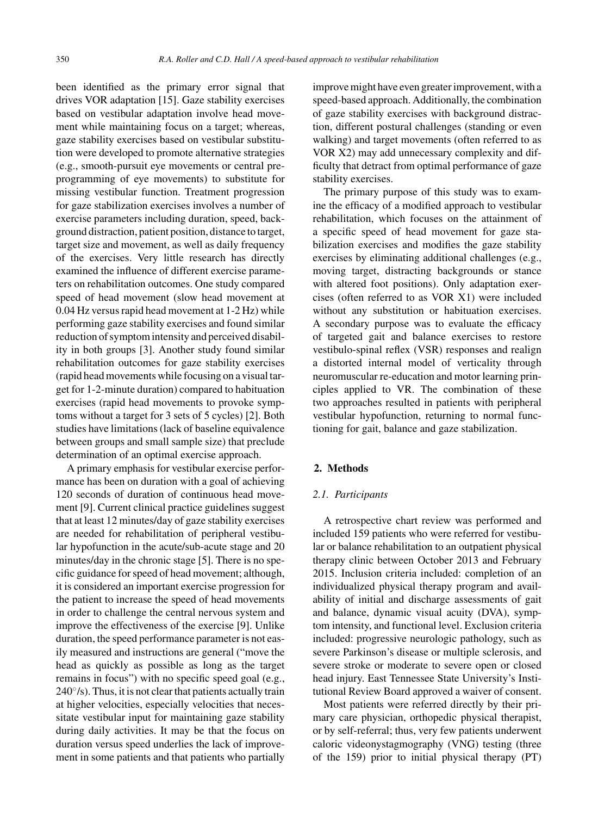been identified as the primary error signal that drives VOR adaptation [15]. Gaze stability exercises based on vestibular adaptation involve head movement while maintaining focus on a target; whereas, gaze stability exercises based on vestibular substitution were developed to promote alternative strategies (e.g., smooth-pursuit eye movements or central preprogramming of eye movements) to substitute for missing vestibular function. Treatment progression for gaze stabilization exercises involves a number of exercise parameters including duration, speed, background distraction, patient position, distance to target, target size and movement, as well as daily frequency of the exercises. Very little research has directly examined the influence of different exercise parameters on rehabilitation outcomes. One study compared speed of head movement (slow head movement at 0.04 Hz versus rapid head movement at 1-2 Hz) while performing gaze stability exercises and found similar reduction of symptom intensity and perceived disability in both groups [3]. Another study found similar rehabilitation outcomes for gaze stability exercises (rapid head movements while focusing on a visual target for 1-2-minute duration) compared to habituation exercises (rapid head movements to provoke symptoms without a target for 3 sets of 5 cycles) [2]. Both studies have limitations (lack of baseline equivalence between groups and small sample size) that preclude determination of an optimal exercise approach.

A primary emphasis for vestibular exercise performance has been on duration with a goal of achieving 120 seconds of duration of continuous head movement [9]. Current clinical practice guidelines suggest that at least 12 minutes/day of gaze stability exercises are needed for rehabilitation of peripheral vestibular hypofunction in the acute/sub-acute stage and 20 minutes/day in the chronic stage [5]. There is no specific guidance for speed of head movement; although, it is considered an important exercise progression for the patient to increase the speed of head movements in order to challenge the central nervous system and improve the effectiveness of the exercise [9]. Unlike duration, the speed performance parameter is not easily measured and instructions are general ("move the head as quickly as possible as long as the target remains in focus") with no specific speed goal (e.g.,  $240°/s$ ). Thus, it is not clear that patients actually train at higher velocities, especially velocities that necessitate vestibular input for maintaining gaze stability during daily activities. It may be that the focus on duration versus speed underlies the lack of improvement in some patients and that patients who partially improve might have even greater improvement, with a speed-based approach. Additionally, the combination of gaze stability exercises with background distraction, different postural challenges (standing or even walking) and target movements (often referred to as VOR X2) may add unnecessary complexity and difficulty that detract from optimal performance of gaze stability exercises.

The primary purpose of this study was to examine the efficacy of a modified approach to vestibular rehabilitation, which focuses on the attainment of a specific speed of head movement for gaze stabilization exercises and modifies the gaze stability exercises by eliminating additional challenges (e.g., moving target, distracting backgrounds or stance with altered foot positions). Only adaptation exercises (often referred to as VOR X1) were included without any substitution or habituation exercises. A secondary purpose was to evaluate the efficacy of targeted gait and balance exercises to restore vestibulo-spinal reflex (VSR) responses and realign a distorted internal model of verticality through neuromuscular re-education and motor learning principles applied to VR. The combination of these two approaches resulted in patients with peripheral vestibular hypofunction, returning to normal functioning for gait, balance and gaze stabilization.

#### **2. Methods**

#### *2.1. Participants*

A retrospective chart review was performed and included 159 patients who were referred for vestibular or balance rehabilitation to an outpatient physical therapy clinic between October 2013 and February 2015. Inclusion criteria included: completion of an individualized physical therapy program and availability of initial and discharge assessments of gait and balance, dynamic visual acuity (DVA), symptom intensity, and functional level. Exclusion criteria included: progressive neurologic pathology, such as severe Parkinson's disease or multiple sclerosis, and severe stroke or moderate to severe open or closed head injury. East Tennessee State University's Institutional Review Board approved a waiver of consent.

Most patients were referred directly by their primary care physician, orthopedic physical therapist, or by self-referral; thus, very few patients underwent caloric videonystagmography (VNG) testing (three of the 159) prior to initial physical therapy (PT)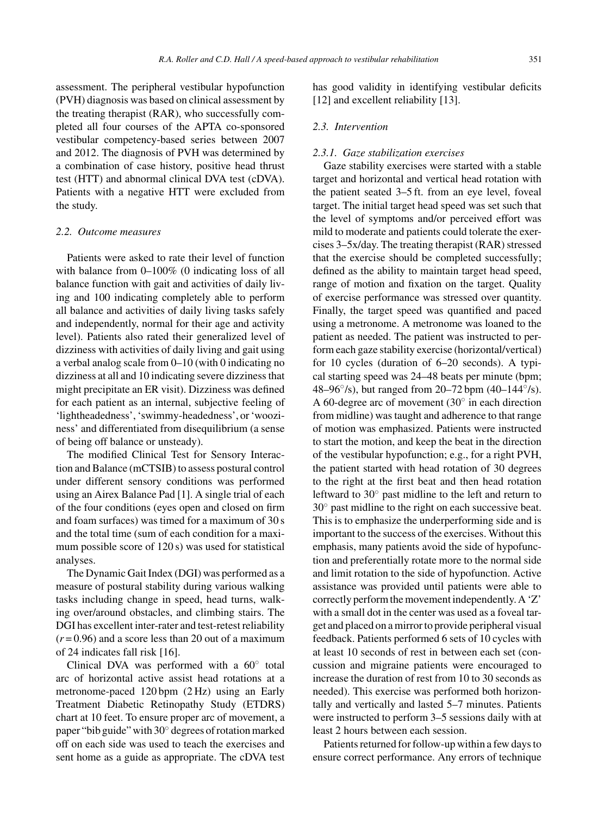assessment. The peripheral vestibular hypofunction (PVH) diagnosis was based on clinical assessment by the treating therapist (RAR), who successfully completed all four courses of the APTA co-sponsored vestibular competency-based series between 2007 and 2012. The diagnosis of PVH was determined by a combination of case history, positive head thrust test (HTT) and abnormal clinical DVA test (cDVA). Patients with a negative HTT were excluded from the study.

#### *2.2. Outcome measures*

Patients were asked to rate their level of function with balance from 0–100% (0 indicating loss of all balance function with gait and activities of daily living and 100 indicating completely able to perform all balance and activities of daily living tasks safely and independently, normal for their age and activity level). Patients also rated their generalized level of dizziness with activities of daily living and gait using a verbal analog scale from 0–10 (with 0 indicating no dizziness at all and 10 indicating severe dizziness that might precipitate an ER visit). Dizziness was defined for each patient as an internal, subjective feeling of 'lightheadedness', 'swimmy-headedness', or 'wooziness' and differentiated from disequilibrium (a sense of being off balance or unsteady).

The modified Clinical Test for Sensory Interaction and Balance (mCTSIB) to assess postural control under different sensory conditions was performed using an Airex Balance Pad [1]. A single trial of each of the four conditions (eyes open and closed on firm and foam surfaces) was timed for a maximum of 30 s and the total time (sum of each condition for a maximum possible score of 120 s) was used for statistical analyses.

The Dynamic Gait Index (DGI) was performed as a measure of postural stability during various walking tasks including change in speed, head turns, walking over/around obstacles, and climbing stairs. The DGI has excellent inter-rater and test-retest reliability  $(r=0.96)$  and a score less than 20 out of a maximum of 24 indicates fall risk [16].

Clinical DVA was performed with a 60◦ total arc of horizontal active assist head rotations at a metronome-paced 120 bpm (2 Hz) using an Early Treatment Diabetic Retinopathy Study (ETDRS) chart at 10 feet. To ensure proper arc of movement, a paper "bib guide" with 30◦ degrees of rotation marked off on each side was used to teach the exercises and sent home as a guide as appropriate. The cDVA test

has good validity in identifying vestibular deficits [12] and excellent reliability [13].

#### *2.3. Intervention*

#### *2.3.1. Gaze stabilization exercises*

Gaze stability exercises were started with a stable target and horizontal and vertical head rotation with the patient seated 3–5 ft. from an eye level, foveal target. The initial target head speed was set such that the level of symptoms and/or perceived effort was mild to moderate and patients could tolerate the exercises 3–5x/day. The treating therapist (RAR) stressed that the exercise should be completed successfully; defined as the ability to maintain target head speed, range of motion and fixation on the target. Quality of exercise performance was stressed over quantity. Finally, the target speed was quantified and paced using a metronome. A metronome was loaned to the patient as needed. The patient was instructed to perform each gaze stability exercise (horizontal/vertical) for 10 cycles (duration of 6–20 seconds). A typical starting speed was 24–48 beats per minute (bpm; 48–96◦/s), but ranged from 20–72 bpm (40–144◦/s). A 60-degree arc of movement (30◦ in each direction from midline) was taught and adherence to that range of motion was emphasized. Patients were instructed to start the motion, and keep the beat in the direction of the vestibular hypofunction; e.g., for a right PVH, the patient started with head rotation of 30 degrees to the right at the first beat and then head rotation leftward to 30◦ past midline to the left and return to 30◦ past midline to the right on each successive beat. This is to emphasize the underperforming side and is important to the success of the exercises. Without this emphasis, many patients avoid the side of hypofunction and preferentially rotate more to the normal side and limit rotation to the side of hypofunction. Active assistance was provided until patients were able to correctly perform the movement independently. A 'Z' with a small dot in the center was used as a foveal target and placed on a mirror to provide peripheral visual feedback. Patients performed 6 sets of 10 cycles with at least 10 seconds of rest in between each set (concussion and migraine patients were encouraged to increase the duration of rest from 10 to 30 seconds as needed). This exercise was performed both horizontally and vertically and lasted 5–7 minutes. Patients were instructed to perform 3–5 sessions daily with at least 2 hours between each session.

Patients returned for follow-up within a few days to ensure correct performance. Any errors of technique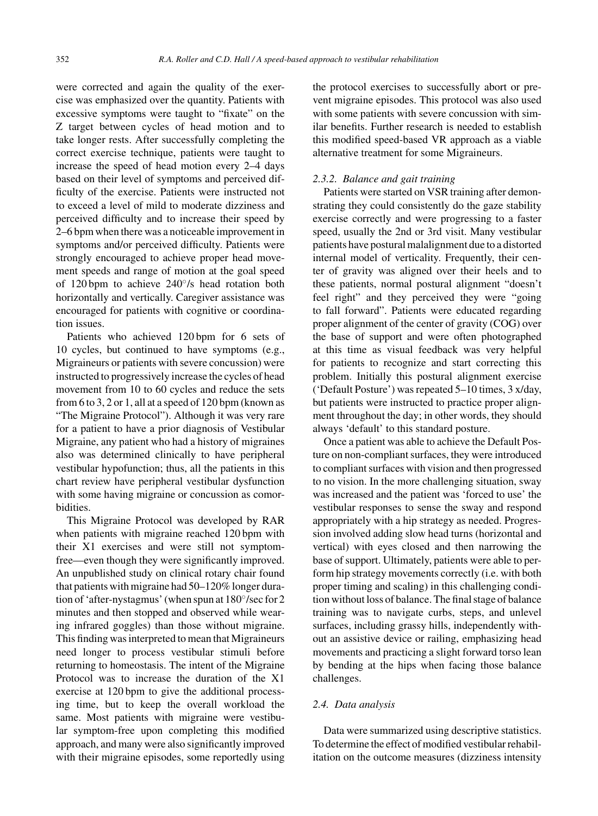were corrected and again the quality of the exercise was emphasized over the quantity. Patients with excessive symptoms were taught to "fixate" on the Z target between cycles of head motion and to take longer rests. After successfully completing the correct exercise technique, patients were taught to increase the speed of head motion every 2–4 days based on their level of symptoms and perceived difficulty of the exercise. Patients were instructed not to exceed a level of mild to moderate dizziness and perceived difficulty and to increase their speed by 2–6 bpm when there was a noticeable improvement in symptoms and/or perceived difficulty. Patients were strongly encouraged to achieve proper head movement speeds and range of motion at the goal speed of 120 bpm to achieve 240<sup>°</sup>/s head rotation both horizontally and vertically. Caregiver assistance was encouraged for patients with cognitive or coordination issues.

Patients who achieved 120 bpm for 6 sets of 10 cycles, but continued to have symptoms (e.g., Migraineurs or patients with severe concussion) were instructed to progressively increase the cycles of head movement from 10 to 60 cycles and reduce the sets from 6 to 3, 2 or 1, all at a speed of 120 bpm (known as "The Migraine Protocol"). Although it was very rare for a patient to have a prior diagnosis of Vestibular Migraine, any patient who had a history of migraines also was determined clinically to have peripheral vestibular hypofunction; thus, all the patients in this chart review have peripheral vestibular dysfunction with some having migraine or concussion as comorbidities.

This Migraine Protocol was developed by RAR when patients with migraine reached 120 bpm with their X1 exercises and were still not symptomfree—even though they were significantly improved. An unpublished study on clinical rotary chair found that patients with migraine had 50–120% longer duration of 'after-nystagmus' (when spun at 180◦/sec for 2 minutes and then stopped and observed while wearing infrared goggles) than those without migraine. This finding was interpreted to mean that Migraineurs need longer to process vestibular stimuli before returning to homeostasis. The intent of the Migraine Protocol was to increase the duration of the X1 exercise at 120 bpm to give the additional processing time, but to keep the overall workload the same. Most patients with migraine were vestibular symptom-free upon completing this modified approach, and many were also significantly improved with their migraine episodes, some reportedly using the protocol exercises to successfully abort or prevent migraine episodes. This protocol was also used with some patients with severe concussion with similar benefits. Further research is needed to establish this modified speed-based VR approach as a viable alternative treatment for some Migraineurs.

#### *2.3.2. Balance and gait training*

Patients were started on VSR training after demonstrating they could consistently do the gaze stability exercise correctly and were progressing to a faster speed, usually the 2nd or 3rd visit. Many vestibular patients have postural malalignment due to a distorted internal model of verticality. Frequently, their center of gravity was aligned over their heels and to these patients, normal postural alignment "doesn't feel right" and they perceived they were "going to fall forward". Patients were educated regarding proper alignment of the center of gravity (COG) over the base of support and were often photographed at this time as visual feedback was very helpful for patients to recognize and start correcting this problem. Initially this postural alignment exercise ('Default Posture') was repeated 5–10 times, 3 x/day, but patients were instructed to practice proper alignment throughout the day; in other words, they should always 'default' to this standard posture.

Once a patient was able to achieve the Default Posture on non-compliant surfaces, they were introduced to compliant surfaces with vision and then progressed to no vision. In the more challenging situation, sway was increased and the patient was 'forced to use' the vestibular responses to sense the sway and respond appropriately with a hip strategy as needed. Progression involved adding slow head turns (horizontal and vertical) with eyes closed and then narrowing the base of support. Ultimately, patients were able to perform hip strategy movements correctly (i.e. with both proper timing and scaling) in this challenging condition without loss of balance. The final stage of balance training was to navigate curbs, steps, and unlevel surfaces, including grassy hills, independently without an assistive device or railing, emphasizing head movements and practicing a slight forward torso lean by bending at the hips when facing those balance challenges.

#### *2.4. Data analysis*

Data were summarized using descriptive statistics. To determine the effect of modified vestibular rehabilitation on the outcome measures (dizziness intensity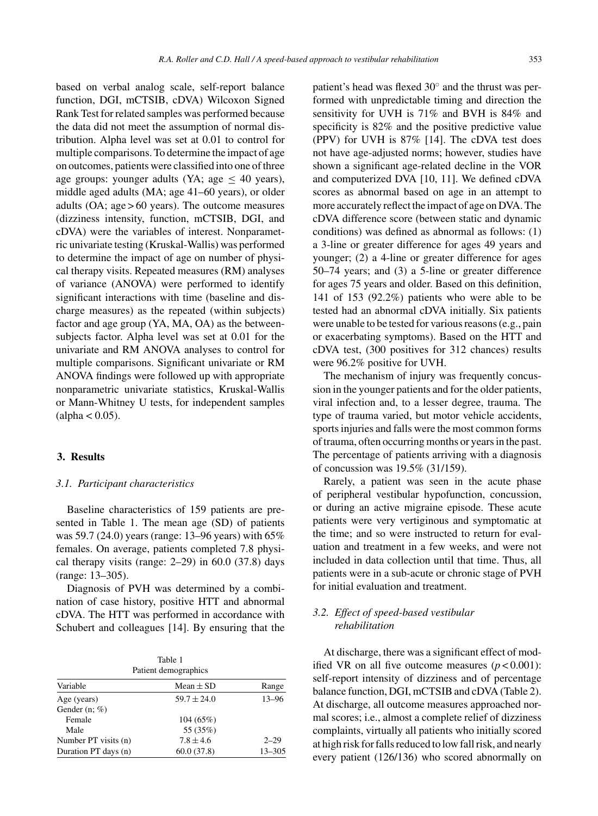based on verbal analog scale, self-report balance function, DGI, mCTSIB, cDVA) Wilcoxon Signed Rank Test for related samples was performed because the data did not meet the assumption of normal distribution. Alpha level was set at 0.01 to control for multiple comparisons. To determine the impact of age on outcomes, patients were classified into one of three age groups: younger adults (YA; age  $\leq$  40 years), middle aged adults (MA; age 41–60 years), or older adults (OA; age > 60 years). The outcome measures (dizziness intensity, function, mCTSIB, DGI, and cDVA) were the variables of interest. Nonparametric univariate testing (Kruskal-Wallis) was performed to determine the impact of age on number of physical therapy visits. Repeated measures (RM) analyses of variance (ANOVA) were performed to identify significant interactions with time (baseline and discharge measures) as the repeated (within subjects) factor and age group (YA, MA, OA) as the betweensubjects factor. Alpha level was set at 0.01 for the univariate and RM ANOVA analyses to control for multiple comparisons. Significant univariate or RM ANOVA findings were followed up with appropriate nonparametric univariate statistics, Kruskal-Wallis or Mann-Whitney U tests, for independent samples  $(alpha < 0.05)$ .

#### **3. Results**

#### *3.1. Participant characteristics*

Baseline characteristics of 159 patients are presented in Table 1. The mean age (SD) of patients was 59.7 (24.0) years (range: 13–96 years) with 65% females. On average, patients completed 7.8 physical therapy visits (range:  $2-29$ ) in 60.0 (37.8) days (range: 13–305).

Diagnosis of PVH was determined by a combination of case history, positive HTT and abnormal cDVA. The HTT was performed in accordance with Schubert and colleagues [14]. By ensuring that the

| Table 1<br>Patient demographics |                 |            |  |  |  |  |  |
|---------------------------------|-----------------|------------|--|--|--|--|--|
|                                 |                 |            |  |  |  |  |  |
| Age (years)                     | $59.7 \pm 24.0$ | $13 - 96$  |  |  |  |  |  |
| Gender $(n; \%)$                |                 |            |  |  |  |  |  |
| Female                          | 104(65%)        |            |  |  |  |  |  |
| Male                            | 55 (35%)        |            |  |  |  |  |  |
| Number PT visits (n)            | $7.8 + 4.6$     | $2 - 29$   |  |  |  |  |  |
| Duration PT days (n)            | 60.0(37.8)      | $13 - 305$ |  |  |  |  |  |

patient's head was flexed 30° and the thrust was performed with unpredictable timing and direction the sensitivity for UVH is 71% and BVH is 84% and specificity is 82% and the positive predictive value (PPV) for UVH is 87% [14]. The cDVA test does not have age-adjusted norms; however, studies have shown a significant age-related decline in the VOR and computerized DVA [10, 11]. We defined cDVA scores as abnormal based on age in an attempt to more accurately reflect the impact of age on DVA. The cDVA difference score (between static and dynamic conditions) was defined as abnormal as follows: (1) a 3-line or greater difference for ages 49 years and younger; (2) a 4-line or greater difference for ages 50–74 years; and (3) a 5-line or greater difference for ages 75 years and older. Based on this definition, 141 of 153 (92.2%) patients who were able to be tested had an abnormal cDVA initially. Six patients were unable to be tested for various reasons (e.g., pain or exacerbating symptoms). Based on the HTT and cDVA test, (300 positives for 312 chances) results were 96.2% positive for UVH.

The mechanism of injury was frequently concussion in the younger patients and for the older patients, viral infection and, to a lesser degree, trauma. The type of trauma varied, but motor vehicle accidents, sports injuries and falls were the most common forms of trauma, often occurring months or years in the past. The percentage of patients arriving with a diagnosis of concussion was 19.5% (31/159).

Rarely, a patient was seen in the acute phase of peripheral vestibular hypofunction, concussion, or during an active migraine episode. These acute patients were very vertiginous and symptomatic at the time; and so were instructed to return for evaluation and treatment in a few weeks, and were not included in data collection until that time. Thus, all patients were in a sub-acute or chronic stage of PVH for initial evaluation and treatment.

#### *3.2. Effect of speed-based vestibular rehabilitation*

At discharge, there was a significant effect of modified VR on all five outcome measures  $(p < 0.001)$ : self-report intensity of dizziness and of percentage balance function, DGI, mCTSIB and cDVA (Table 2). At discharge, all outcome measures approached normal scores; i.e., almost a complete relief of dizziness complaints, virtually all patients who initially scored at high risk for falls reduced to low fall risk, and nearly every patient (126/136) who scored abnormally on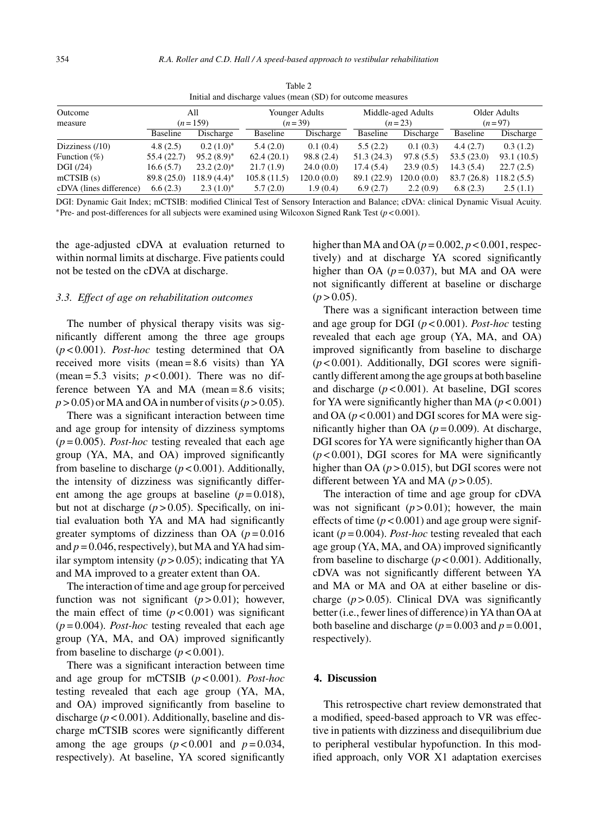| Initial and discharge values (fileall (3D) for outcome incastries |             |                |                |            |                    |            |              |             |  |
|-------------------------------------------------------------------|-------------|----------------|----------------|------------|--------------------|------------|--------------|-------------|--|
| Outcome                                                           | All         |                | Younger Adults |            | Middle-aged Adults |            | Older Adults |             |  |
| $(n=159)$<br>measure                                              |             |                | $(n=39)$       |            | $(n=23)$           |            | $(n=97)$     |             |  |
|                                                                   | Baseline    | Discharge      | Baseline       | Discharge  | Baseline           | Discharge  | Baseline     | Discharge   |  |
| Dizziness $(10)$                                                  | 4.8(2.5)    | $0.2(1.0)^*$   | 5.4(2.0)       | 0.1(0.4)   | 5.5(2.2)           | 0.1(0.3)   | 4.4(2.7)     | 0.3(1.2)    |  |
| Function $(\% )$                                                  | 55.4 (22.7) | $95.2(8.9)^*$  | 62.4(20.1)     | 98.8(2.4)  | 51.3(24.3)         | 97.8(5.5)  | 53.5(23.0)   | 93.1(10.5)  |  |
| DGI (1/24)                                                        | 16.6(5.7)   | $23.2(2.0)^*$  | 21.7(1.9)      | 24.0(0.0)  | 17.4(5.4)          | 23.9(0.5)  | 14.3(5.4)    | 22.7(2.5)   |  |
| mCTSIB(s)                                                         | 89.8 (25.0) | $118.9(4.4)^*$ | 105.8(11.5)    | 120.0(0.0) | 89.1 (22.9)        | 120.0(0.0) | 83.7 (26.8)  | 118.2 (5.5) |  |
| cDVA (lines difference)                                           | 6.6(2.3)    | $2.3(1.0)^*$   | 5.7(2.0)       | 1.9(0.4)   | 6.9(2.7)           | 2.2(0.9)   | 6.8(2.3)     | 2.5(1.1)    |  |

Table 2<br> $\frac{2}{\pi}$ Initial and discharge values

DGI: Dynamic Gait Index; mCTSIB: modified Clinical Test of Sensory Interaction and Balance; cDVA: clinical Dynamic Visual Acuity. ∗Pre- and post-differences for all subjects were examined using Wilcoxon Signed Rank Test (*p* < 0.001).

the age-adjusted cDVA at evaluation returned to within normal limits at discharge. Five patients could not be tested on the cDVA at discharge.

#### *3.3. Effect of age on rehabilitation outcomes*

The number of physical therapy visits was significantly different among the three age groups (*p* < 0.001). *Post-hoc* testing determined that OA received more visits (mean = 8.6 visits) than YA (mean = 5.3 visits;  $p < 0.001$ ). There was no difference between YA and MA (mean  $= 8.6$  visits;  $p > 0.05$  or MA and OA in number of visits ( $p > 0.05$ ).

There was a significant interaction between time and age group for intensity of dizziness symptoms  $(p=0.005)$ . *Post-hoc* testing revealed that each age group (YA, MA, and OA) improved significantly from baseline to discharge  $(p < 0.001)$ . Additionally, the intensity of dizziness was significantly different among the age groups at baseline  $(p=0.018)$ , but not at discharge  $(p > 0.05)$ . Specifically, on initial evaluation both YA and MA had significantly greater symptoms of dizziness than OA  $(p=0.016)$ and  $p = 0.046$ , respectively), but MA and YA had similar symptom intensity  $(p > 0.05)$ ; indicating that YA and MA improved to a greater extent than OA.

The interaction of time and age group for perceived function was not significant  $(p > 0.01)$ ; however, the main effect of time  $(p<0.001)$  was significant  $(p=0.004)$ . *Post-hoc* testing revealed that each age group (YA, MA, and OA) improved significantly from baseline to discharge  $(p < 0.001)$ .

There was a significant interaction between time and age group for mCTSIB (*p* < 0.001). *Post-hoc* testing revealed that each age group (YA, MA, and OA) improved significantly from baseline to discharge  $(p < 0.001)$ . Additionally, baseline and discharge mCTSIB scores were significantly different among the age groups  $(p < 0.001$  and  $p = 0.034$ , respectively). At baseline, YA scored significantly higher than MA and OA ( $p = 0.002$ ,  $p < 0.001$ , respectively) and at discharge YA scored significantly higher than OA  $(p=0.037)$ , but MA and OA were not significantly different at baseline or discharge  $(p > 0.05)$ .

There was a significant interaction between time and age group for DGI (*p* < 0.001). *Post-hoc* testing revealed that each age group (YA, MA, and OA) improved significantly from baseline to discharge  $(p<0.001)$ . Additionally, DGI scores were significantly different among the age groups at both baseline and discharge  $(p < 0.001)$ . At baseline, DGI scores for YA were significantly higher than MA  $(p < 0.001)$ and OA  $(p < 0.001)$  and DGI scores for MA were significantly higher than OA  $(p=0.009)$ . At discharge, DGI scores for YA were significantly higher than OA  $(p<0.001)$ , DGI scores for MA were significantly higher than OA  $(p > 0.015)$ , but DGI scores were not different between YA and MA  $(p > 0.05)$ .

The interaction of time and age group for cDVA was not significant  $(p > 0.01)$ ; however, the main effects of time  $(p < 0.001)$  and age group were significant (*p* = 0.004). *Post-hoc* testing revealed that each age group (YA, MA, and OA) improved significantly from baseline to discharge  $(p < 0.001)$ . Additionally, cDVA was not significantly different between YA and MA or MA and OA at either baseline or discharge  $(p > 0.05)$ . Clinical DVA was significantly better (i.e., fewer lines of difference) in YA than OA at both baseline and discharge ( $p = 0.003$  and  $p = 0.001$ , respectively).

#### **4. Discussion**

This retrospective chart review demonstrated that a modified, speed-based approach to VR was effective in patients with dizziness and disequilibrium due to peripheral vestibular hypofunction. In this modified approach, only VOR X1 adaptation exercises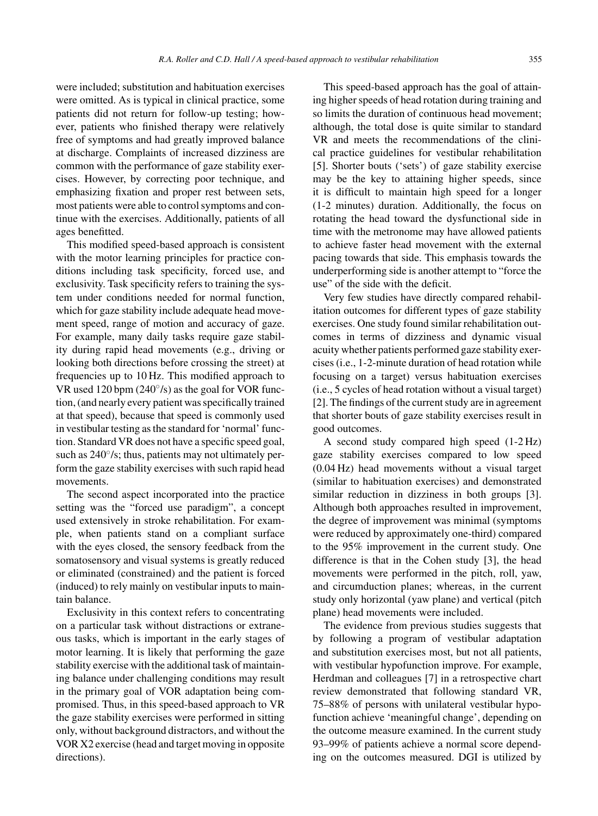were included; substitution and habituation exercises were omitted. As is typical in clinical practice, some patients did not return for follow-up testing; however, patients who finished therapy were relatively free of symptoms and had greatly improved balance at discharge. Complaints of increased dizziness are common with the performance of gaze stability exercises. However, by correcting poor technique, and emphasizing fixation and proper rest between sets, most patients were able to control symptoms and continue with the exercises. Additionally, patients of all ages benefitted.

This modified speed-based approach is consistent with the motor learning principles for practice conditions including task specificity, forced use, and exclusivity. Task specificity refers to training the system under conditions needed for normal function, which for gaze stability include adequate head movement speed, range of motion and accuracy of gaze. For example, many daily tasks require gaze stability during rapid head movements (e.g., driving or looking both directions before crossing the street) at frequencies up to 10 Hz. This modified approach to VR used  $120$  bpm  $(240°/s)$  as the goal for VOR function, (and nearly every patient was specifically trained at that speed), because that speed is commonly used in vestibular testing as the standard for 'normal' function. Standard VR does not have a specific speed goal, such as 240°/s; thus, patients may not ultimately perform the gaze stability exercises with such rapid head movements.

The second aspect incorporated into the practice setting was the "forced use paradigm", a concept used extensively in stroke rehabilitation. For example, when patients stand on a compliant surface with the eyes closed, the sensory feedback from the somatosensory and visual systems is greatly reduced or eliminated (constrained) and the patient is forced (induced) to rely mainly on vestibular inputs to maintain balance.

Exclusivity in this context refers to concentrating on a particular task without distractions or extraneous tasks, which is important in the early stages of motor learning. It is likely that performing the gaze stability exercise with the additional task of maintaining balance under challenging conditions may result in the primary goal of VOR adaptation being compromised. Thus, in this speed-based approach to VR the gaze stability exercises were performed in sitting only, without background distractors, and without the VOR X2 exercise (head and target moving in opposite directions).

This speed-based approach has the goal of attaining higher speeds of head rotation during training and so limits the duration of continuous head movement; although, the total dose is quite similar to standard VR and meets the recommendations of the clinical practice guidelines for vestibular rehabilitation [5]. Shorter bouts ('sets') of gaze stability exercise may be the key to attaining higher speeds, since it is difficult to maintain high speed for a longer (1-2 minutes) duration. Additionally, the focus on rotating the head toward the dysfunctional side in time with the metronome may have allowed patients to achieve faster head movement with the external pacing towards that side. This emphasis towards the underperforming side is another attempt to "force the use" of the side with the deficit.

Very few studies have directly compared rehabilitation outcomes for different types of gaze stability exercises. One study found similar rehabilitation outcomes in terms of dizziness and dynamic visual acuity whether patients performed gaze stability exercises (i.e., 1-2-minute duration of head rotation while focusing on a target) versus habituation exercises (i.e., 5 cycles of head rotation without a visual target) [2]. The findings of the current study are in agreement that shorter bouts of gaze stability exercises result in good outcomes.

A second study compared high speed (1-2 Hz) gaze stability exercises compared to low speed (0.04 Hz) head movements without a visual target (similar to habituation exercises) and demonstrated similar reduction in dizziness in both groups [3]. Although both approaches resulted in improvement, the degree of improvement was minimal (symptoms were reduced by approximately one-third) compared to the 95% improvement in the current study. One difference is that in the Cohen study [3], the head movements were performed in the pitch, roll, yaw, and circumduction planes; whereas, in the current study only horizontal (yaw plane) and vertical (pitch plane) head movements were included.

The evidence from previous studies suggests that by following a program of vestibular adaptation and substitution exercises most, but not all patients, with vestibular hypofunction improve. For example, Herdman and colleagues [7] in a retrospective chart review demonstrated that following standard VR, 75–88% of persons with unilateral vestibular hypofunction achieve 'meaningful change', depending on the outcome measure examined. In the current study 93–99% of patients achieve a normal score depending on the outcomes measured. DGI is utilized by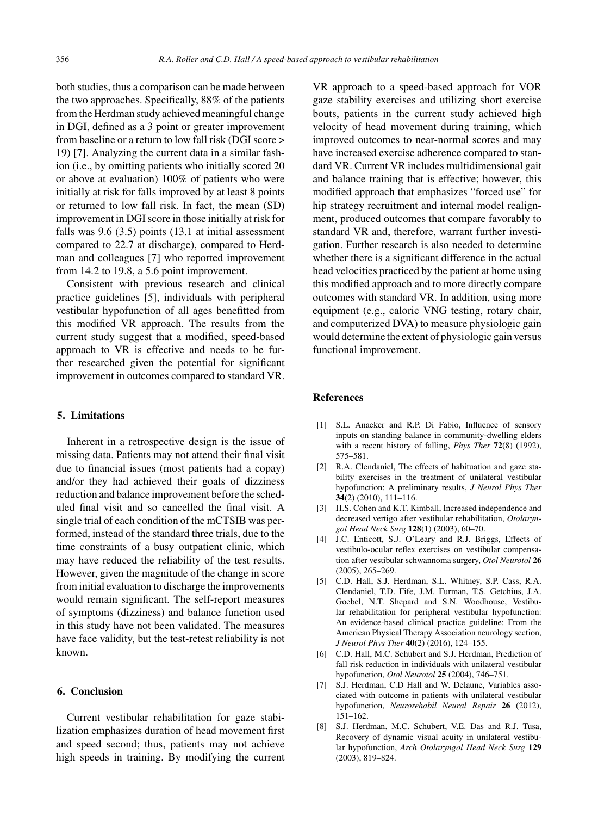both studies, thus a comparison can be made between the two approaches. Specifically, 88% of the patients from the Herdman study achieved meaningful change in DGI, defined as a 3 point or greater improvement from baseline or a return to low fall risk (DGI score > 19) [7]. Analyzing the current data in a similar fashion (i.e., by omitting patients who initially scored 20 or above at evaluation) 100% of patients who were initially at risk for falls improved by at least 8 points or returned to low fall risk. In fact, the mean (SD) improvement in DGI score in those initially at risk for falls was 9.6 (3.5) points (13.1 at initial assessment compared to 22.7 at discharge), compared to Herdman and colleagues [7] who reported improvement from 14.2 to 19.8, a 5.6 point improvement.

Consistent with previous research and clinical practice guidelines [5], individuals with peripheral vestibular hypofunction of all ages benefitted from this modified VR approach. The results from the current study suggest that a modified, speed-based approach to VR is effective and needs to be further researched given the potential for significant improvement in outcomes compared to standard VR.

#### **5. Limitations**

Inherent in a retrospective design is the issue of missing data. Patients may not attend their final visit due to financial issues (most patients had a copay) and/or they had achieved their goals of dizziness reduction and balance improvement before the scheduled final visit and so cancelled the final visit. A single trial of each condition of the mCTSIB was performed, instead of the standard three trials, due to the time constraints of a busy outpatient clinic, which may have reduced the reliability of the test results. However, given the magnitude of the change in score from initial evaluation to discharge the improvements would remain significant. The self-report measures of symptoms (dizziness) and balance function used in this study have not been validated. The measures have face validity, but the test-retest reliability is not known.

#### **6. Conclusion**

Current vestibular rehabilitation for gaze stabilization emphasizes duration of head movement first and speed second; thus, patients may not achieve high speeds in training. By modifying the current

VR approach to a speed-based approach for VOR gaze stability exercises and utilizing short exercise bouts, patients in the current study achieved high velocity of head movement during training, which improved outcomes to near-normal scores and may have increased exercise adherence compared to standard VR. Current VR includes multidimensional gait and balance training that is effective; however, this modified approach that emphasizes "forced use" for hip strategy recruitment and internal model realignment, produced outcomes that compare favorably to standard VR and, therefore, warrant further investigation. Further research is also needed to determine whether there is a significant difference in the actual head velocities practiced by the patient at home using this modified approach and to more directly compare outcomes with standard VR. In addition, using more equipment (e.g., caloric VNG testing, rotary chair, and computerized DVA) to measure physiologic gain would determine the extent of physiologic gain versus functional improvement.

#### **References**

- [1] S.L. Anacker and R.P. Di Fabio, Influence of sensory inputs on standing balance in community-dwelling elders with a recent history of falling, *Phys Ther* **72**(8) (1992), 575–581.
- [2] R.A. Clendaniel, The effects of habituation and gaze stability exercises in the treatment of unilateral vestibular hypofunction: A preliminary results, *J Neurol Phys Ther* **34**(2) (2010), 111–116.
- [3] H.S. Cohen and K.T. Kimball, Increased independence and decreased vertigo after vestibular rehabilitation, *Otolaryngol Head Neck Surg* **128**(1) (2003), 60–70.
- [4] J.C. Enticott, S.J. O'Leary and R.J. Briggs, Effects of vestibulo-ocular reflex exercises on vestibular compensation after vestibular schwannoma surgery, *Otol Neurotol* **26** (2005), 265–269.
- [5] C.D. Hall, S.J. Herdman, S.L. Whitney, S.P. Cass, R.A. Clendaniel, T.D. Fife, J.M. Furman, T.S. Getchius, J.A. Goebel, N.T. Shepard and S.N. Woodhouse, Vestibular rehabilitation for peripheral vestibular hypofunction: An evidence-based clinical practice guideline: From the American Physical Therapy Association neurology section, *J Neurol Phys Ther* **40**(2) (2016), 124–155.
- [6] C.D. Hall, M.C. Schubert and S.J. Herdman, Prediction of fall risk reduction in individuals with unilateral vestibular hypofunction, *Otol Neurotol* **25** (2004), 746–751.
- [7] S.J. Herdman, C.D Hall and W. Delaune, Variables associated with outcome in patients with unilateral vestibular hypofunction, *Neurorehabil Neural Repair* **26** (2012), 151–162.
- [8] S.J. Herdman, M.C. Schubert, V.E. Das and R.J. Tusa, Recovery of dynamic visual acuity in unilateral vestibular hypofunction, *Arch Otolaryngol Head Neck Surg* **129** (2003), 819–824.